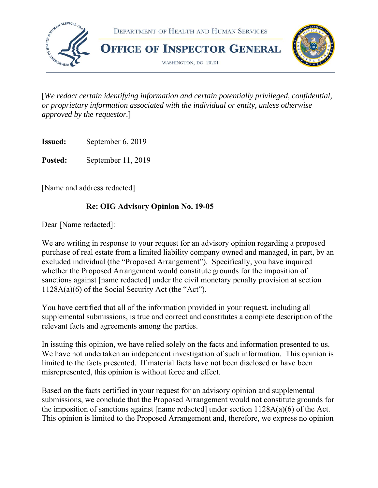

[*We redact certain identifying information and certain potentially privileged, confidential, or proprietary information associated with the individual or entity, unless otherwise approved by the requestor.*]

**Issued:** September 6, 2019

**Posted:** September 11, 2019

[Name and address redacted]

## **Re: OIG Advisory Opinion No. 19-05**

Dear [Name redacted]:

We are writing in response to your request for an advisory opinion regarding a proposed purchase of real estate from a limited liability company owned and managed, in part, by an excluded individual (the "Proposed Arrangement"). Specifically, you have inquired whether the Proposed Arrangement would constitute grounds for the imposition of sanctions against [name redacted] under the civil monetary penalty provision at section 1128A(a)(6) of the Social Security Act (the "Act").

You have certified that all of the information provided in your request, including all supplemental submissions, is true and correct and constitutes a complete description of the relevant facts and agreements among the parties.

In issuing this opinion, we have relied solely on the facts and information presented to us. We have not undertaken an independent investigation of such information. This opinion is limited to the facts presented. If material facts have not been disclosed or have been misrepresented, this opinion is without force and effect.

Based on the facts certified in your request for an advisory opinion and supplemental submissions, we conclude that the Proposed Arrangement would not constitute grounds for the imposition of sanctions against [name redacted] under section 1128A(a)(6) of the Act. This opinion is limited to the Proposed Arrangement and, therefore, we express no opinion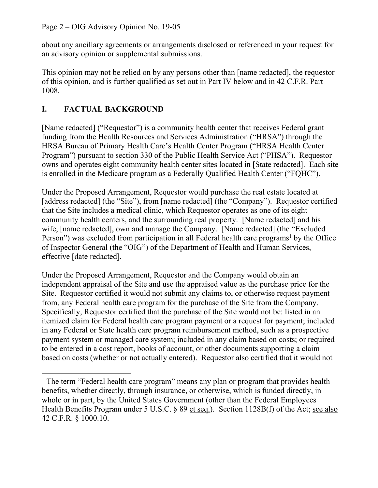about any ancillary agreements or arrangements disclosed or referenced in your request for an advisory opinion or supplemental submissions.

This opinion may not be relied on by any persons other than [name redacted], the requestor of this opinion, and is further qualified as set out in Part IV below and in 42 C.F.R. Part 1008.

# **I. FACTUAL BACKGROUND**

[Name redacted] ("Requestor") is a community health center that receives Federal grant funding from the Health Resources and Services Administration ("HRSA") through the HRSA Bureau of Primary Health Care's Health Center Program ("HRSA Health Center Program") pursuant to section 330 of the Public Health Service Act ("PHSA"). Requestor owns and operates eight community health center sites located in [State redacted]. Each site is enrolled in the Medicare program as a Federally Qualified Health Center ("FQHC").

Under the Proposed Arrangement, Requestor would purchase the real estate located at [address redacted] (the "Site"), from [name redacted] (the "Company"). Requestor certified that the Site includes a medical clinic, which Requestor operates as one of its eight community health centers, and the surrounding real property. [Name redacted] and his wife, [name redacted], own and manage the Company. [Name redacted] (the "Excluded Person") was excluded from participation in all Federal health care programs<sup>1</sup> by the Office of Inspector General (the "OIG") of the Department of Health and Human Services, effective [date redacted].

Under the Proposed Arrangement, Requestor and the Company would obtain an independent appraisal of the Site and use the appraised value as the purchase price for the Site. Requestor certified it would not submit any claims to, or otherwise request payment from, any Federal health care program for the purchase of the Site from the Company. Specifically, Requestor certified that the purchase of the Site would not be: listed in an itemized claim for Federal health care program payment or a request for payment; included in any Federal or State health care program reimbursement method, such as a prospective payment system or managed care system; included in any claim based on costs; or required to be entered in a cost report, books of account, or other documents supporting a claim based on costs (whether or not actually entered). Requestor also certified that it would not

 $\overline{a}$ <sup>1</sup> The term "Federal health care program" means any plan or program that provides health benefits, whether directly, through insurance, or otherwise, which is funded directly, in whole or in part, by the United States Government (other than the Federal Employees Health Benefits Program under 5 U.S.C. § 89 et seq.). Section 1128B(f) of the Act; see also 42 C.F.R. § 1000.10.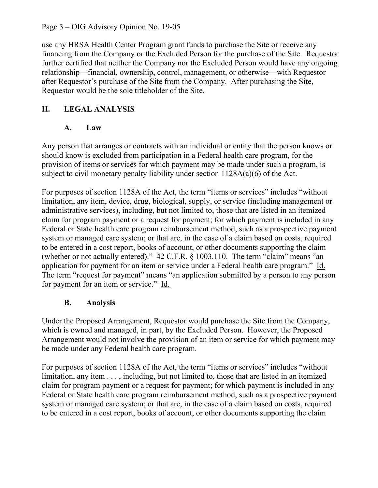Page 3 – OIG Advisory Opinion No. 19-05

use any HRSA Health Center Program grant funds to purchase the Site or receive any financing from the Company or the Excluded Person for the purchase of the Site. Requestor further certified that neither the Company nor the Excluded Person would have any ongoing relationship—financial, ownership, control, management, or otherwise—with Requestor after Requestor's purchase of the Site from the Company. After purchasing the Site, Requestor would be the sole titleholder of the Site.

# **II. LEGAL ANALYSIS**

## **A. Law**

Any person that arranges or contracts with an individual or entity that the person knows or should know is excluded from participation in a Federal health care program, for the provision of items or services for which payment may be made under such a program, is subject to civil monetary penalty liability under section 1128A(a)(6) of the Act.

For purposes of section 1128A of the Act, the term "items or services" includes "without limitation, any item, device, drug, biological, supply, or service (including management or administrative services), including, but not limited to, those that are listed in an itemized claim for program payment or a request for payment; for which payment is included in any Federal or State health care program reimbursement method, such as a prospective payment system or managed care system; or that are, in the case of a claim based on costs, required to be entered in a cost report, books of account, or other documents supporting the claim (whether or not actually entered)." 42 C.F.R. § 1003.110. The term "claim" means "an application for payment for an item or service under a Federal health care program." Id. The term "request for payment" means "an application submitted by a person to any person for payment for an item or service." Id.

# **B. Analysis**

Under the Proposed Arrangement, Requestor would purchase the Site from the Company, which is owned and managed, in part, by the Excluded Person. However, the Proposed Arrangement would not involve the provision of an item or service for which payment may be made under any Federal health care program.

For purposes of section 1128A of the Act, the term "items or services" includes "without limitation, any item . . . , including, but not limited to, those that are listed in an itemized claim for program payment or a request for payment; for which payment is included in any Federal or State health care program reimbursement method, such as a prospective payment system or managed care system; or that are, in the case of a claim based on costs, required to be entered in a cost report, books of account, or other documents supporting the claim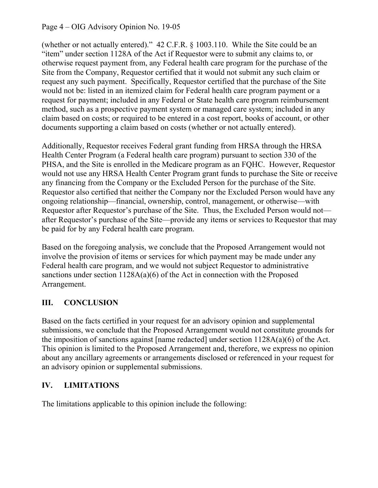### Page 4 – OIG Advisory Opinion No. 19-05

(whether or not actually entered)." 42 C.F.R. § 1003.110. While the Site could be an "item" under section 1128A of the Act if Requestor were to submit any claims to, or otherwise request payment from, any Federal health care program for the purchase of the Site from the Company, Requestor certified that it would not submit any such claim or request any such payment. Specifically, Requestor certified that the purchase of the Site would not be: listed in an itemized claim for Federal health care program payment or a request for payment; included in any Federal or State health care program reimbursement method, such as a prospective payment system or managed care system; included in any claim based on costs; or required to be entered in a cost report, books of account, or other documents supporting a claim based on costs (whether or not actually entered).

 Additionally, Requestor receives Federal grant funding from HRSA through the HRSA Health Center Program (a Federal health care program) pursuant to section 330 of the PHSA, and the Site is enrolled in the Medicare program as an FQHC. However, Requestor would not use any HRSA Health Center Program grant funds to purchase the Site or receive any financing from the Company or the Excluded Person for the purchase of the Site. Requestor also certified that neither the Company nor the Excluded Person would have any ongoing relationship—financial, ownership, control, management, or otherwise—with Requestor after Requestor's purchase of the Site. Thus, the Excluded Person would not after Requestor's purchase of the Site—provide any items or services to Requestor that may be paid for by any Federal health care program.

Based on the foregoing analysis, we conclude that the Proposed Arrangement would not involve the provision of items or services for which payment may be made under any Federal health care program, and we would not subject Requestor to administrative sanctions under section 1128A(a)(6) of the Act in connection with the Proposed Arrangement.

### **III. CONCLUSION**

Based on the facts certified in your request for an advisory opinion and supplemental submissions, we conclude that the Proposed Arrangement would not constitute grounds for the imposition of sanctions against [name redacted] under section 1128A(a)(6) of the Act. This opinion is limited to the Proposed Arrangement and, therefore, we express no opinion about any ancillary agreements or arrangements disclosed or referenced in your request for an advisory opinion or supplemental submissions.

### **IV. LIMITATIONS**

The limitations applicable to this opinion include the following: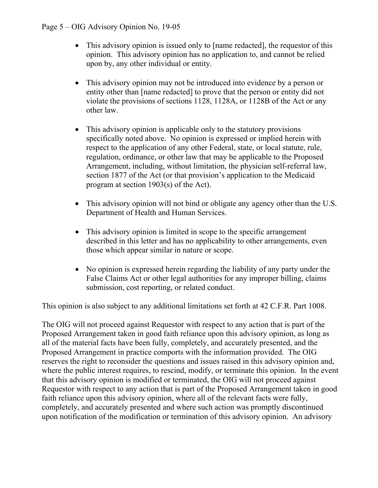- This advisory opinion is issued only to [name redacted], the requestor of this opinion. This advisory opinion has no application to, and cannot be relied upon by, any other individual or entity.
- This advisory opinion may not be introduced into evidence by a person or entity other than [name redacted] to prove that the person or entity did not violate the provisions of sections 1128, 1128A, or 1128B of the Act or any other law.
- This advisory opinion is applicable only to the statutory provisions specifically noted above. No opinion is expressed or implied herein with respect to the application of any other Federal, state, or local statute, rule, regulation, ordinance, or other law that may be applicable to the Proposed Arrangement, including, without limitation, the physician self-referral law, section 1877 of the Act (or that provision's application to the Medicaid program at section 1903(s) of the Act).
- This advisory opinion will not bind or obligate any agency other than the U.S. Department of Health and Human Services.
- This advisory opinion is limited in scope to the specific arrangement described in this letter and has no applicability to other arrangements, even those which appear similar in nature or scope.
- No opinion is expressed herein regarding the liability of any party under the False Claims Act or other legal authorities for any improper billing, claims submission, cost reporting, or related conduct.

This opinion is also subject to any additional limitations set forth at 42 C.F.R. Part 1008.

The OIG will not proceed against Requestor with respect to any action that is part of the Proposed Arrangement taken in good faith reliance upon this advisory opinion, as long as all of the material facts have been fully, completely, and accurately presented, and the Proposed Arrangement in practice comports with the information provided. The OIG reserves the right to reconsider the questions and issues raised in this advisory opinion and, where the public interest requires, to rescind, modify, or terminate this opinion. In the event that this advisory opinion is modified or terminated, the OIG will not proceed against Requestor with respect to any action that is part of the Proposed Arrangement taken in good faith reliance upon this advisory opinion, where all of the relevant facts were fully, completely, and accurately presented and where such action was promptly discontinued upon notification of the modification or termination of this advisory opinion. An advisory